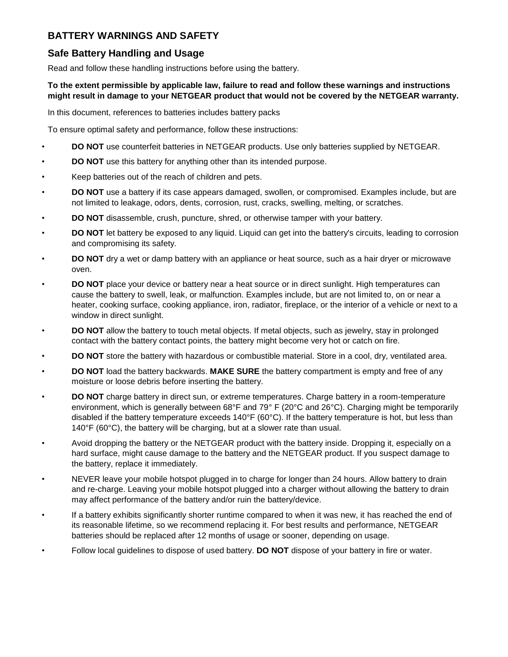# **BATTERY WARNINGS AND SAFETY**

## **Safe Battery Handling and Usage**

Read and follow these handling instructions before using the battery.

### **To the extent permissible by applicable law, failure to read and follow these warnings and instructions might result in damage to your NETGEAR product that would not be covered by the NETGEAR warranty.**

In this document, references to batteries includes battery packs

To ensure optimal safety and performance, follow these instructions:

- **DO NOT** use counterfeit batteries in NETGEAR products. Use only batteries supplied by NETGEAR.
- **DO NOT** use this battery for anything other than its intended purpose.
- Keep batteries out of the reach of children and pets.
- **DO NOT** use a battery if its case appears damaged, swollen, or compromised. Examples include, but are not limited to leakage, odors, dents, corrosion, rust, cracks, swelling, melting, or scratches.
- **DO NOT** disassemble, crush, puncture, shred, or otherwise tamper with your battery.
- **DO NOT** let battery be exposed to any liquid. Liquid can get into the battery's circuits, leading to corrosion and compromising its safety.
- **DO NOT** dry a wet or damp battery with an appliance or heat source, such as a hair dryer or microwave oven.
- **DO NOT** place your device or battery near a heat source or in direct sunlight. High temperatures can cause the battery to swell, leak, or malfunction. Examples include, but are not limited to, on or near a heater, cooking surface, cooking appliance, iron, radiator, fireplace, or the interior of a vehicle or next to a window in direct sunlight.
- **DO NOT** allow the battery to touch metal objects. If metal objects, such as jewelry, stay in prolonged contact with the battery contact points, the battery might become very hot or catch on fire.
- **DO NOT** store the battery with hazardous or combustible material. Store in a cool, dry, ventilated area.
- **DO NOT** load the battery backwards. **MAKE SURE** the battery compartment is empty and free of any moisture or loose debris before inserting the battery.
- **DO NOT** charge battery in direct sun, or extreme temperatures. Charge battery in a room-temperature environment, which is generally between 68°F and 79° F (20°C and 26°C). Charging might be temporarily disabled if the battery temperature exceeds  $140^{\circ}F (60^{\circ}C)$ . If the battery temperature is hot, but less than 140°F (60°C), the battery will be charging, but at a slower rate than usual.
- Avoid dropping the battery or the NETGEAR product with the battery inside. Dropping it, especially on a hard surface, might cause damage to the battery and the NETGEAR product. If you suspect damage to the battery, replace it immediately.
- NEVER leave your mobile hotspot plugged in to charge for longer than 24 hours. Allow battery to drain and re-charge. Leaving your mobile hotspot plugged into a charger without allowing the battery to drain may affect performance of the battery and/or ruin the battery/device.
- If a battery exhibits significantly shorter runtime compared to when it was new, it has reached the end of its reasonable lifetime, so we recommend replacing it. For best results and performance, NETGEAR batteries should be replaced after 12 months of usage or sooner, depending on usage.
- Follow local guidelines to dispose of used battery. **DO NOT** dispose of your battery in fire or water.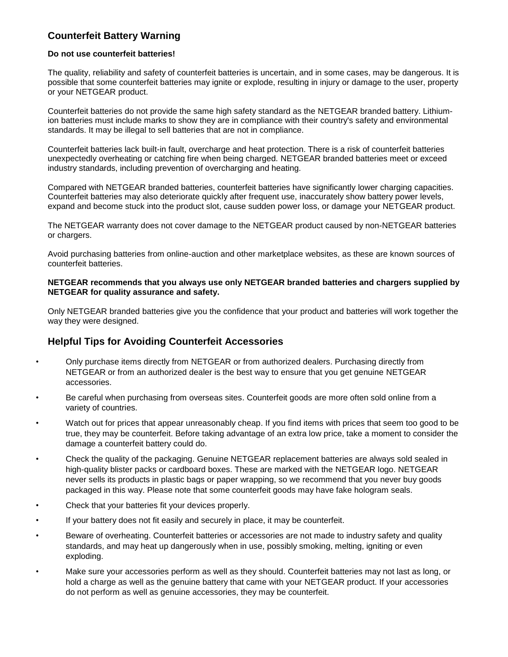# **Counterfeit Battery Warning**

#### **Do not use counterfeit batteries!**

The quality, reliability and safety of counterfeit batteries is uncertain, and in some cases, may be dangerous. It is possible that some counterfeit batteries may ignite or explode, resulting in injury or damage to the user, property or your NETGEAR product.

Counterfeit batteries do not provide the same high safety standard as the NETGEAR branded battery. Lithiumion batteries must include marks to show they are in compliance with their country's safety and environmental standards. It may be illegal to sell batteries that are not in compliance.

Counterfeit batteries lack built-in fault, overcharge and heat protection. There is a risk of counterfeit batteries unexpectedly overheating or catching fire when being charged. NETGEAR branded batteries meet or exceed industry standards, including prevention of overcharging and heating.

Compared with NETGEAR branded batteries, counterfeit batteries have significantly lower charging capacities. Counterfeit batteries may also deteriorate quickly after frequent use, inaccurately show battery power levels, expand and become stuck into the product slot, cause sudden power loss, or damage your NETGEAR product.

The NETGEAR warranty does not cover damage to the NETGEAR product caused by non-NETGEAR batteries or chargers.

Avoid purchasing batteries from online-auction and other marketplace websites, as these are known sources of counterfeit batteries.

#### **NETGEAR recommends that you always use only NETGEAR branded batteries and chargers supplied by NETGEAR for quality assurance and safety.**

Only NETGEAR branded batteries give you the confidence that your product and batteries will work together the way they were designed.

### **Helpful Tips for Avoiding Counterfeit Accessories**

- Only purchase items directly from NETGEAR or from authorized dealers. Purchasing directly from NETGEAR or from an authorized dealer is the best way to ensure that you get genuine NETGEAR accessories.
- Be careful when purchasing from overseas sites. Counterfeit goods are more often sold online from a variety of countries.
- Watch out for prices that appear unreasonably cheap. If you find items with prices that seem too good to be true, they may be counterfeit. Before taking advantage of an extra low price, take a moment to consider the damage a counterfeit battery could do.
- Check the quality of the packaging. Genuine NETGEAR replacement batteries are always sold sealed in high-quality blister packs or cardboard boxes. These are marked with the NETGEAR logo. NETGEAR never sells its products in plastic bags or paper wrapping, so we recommend that you never buy goods packaged in this way. Please note that some counterfeit goods may have fake hologram seals.
- Check that your batteries fit your devices properly.
- If your battery does not fit easily and securely in place, it may be counterfeit.
- Beware of overheating. Counterfeit batteries or accessories are not made to industry safety and quality standards, and may heat up dangerously when in use, possibly smoking, melting, igniting or even exploding.
- Make sure your accessories perform as well as they should. Counterfeit batteries may not last as long, or hold a charge as well as the genuine battery that came with your NETGEAR product. If your accessories do not perform as well as genuine accessories, they may be counterfeit.